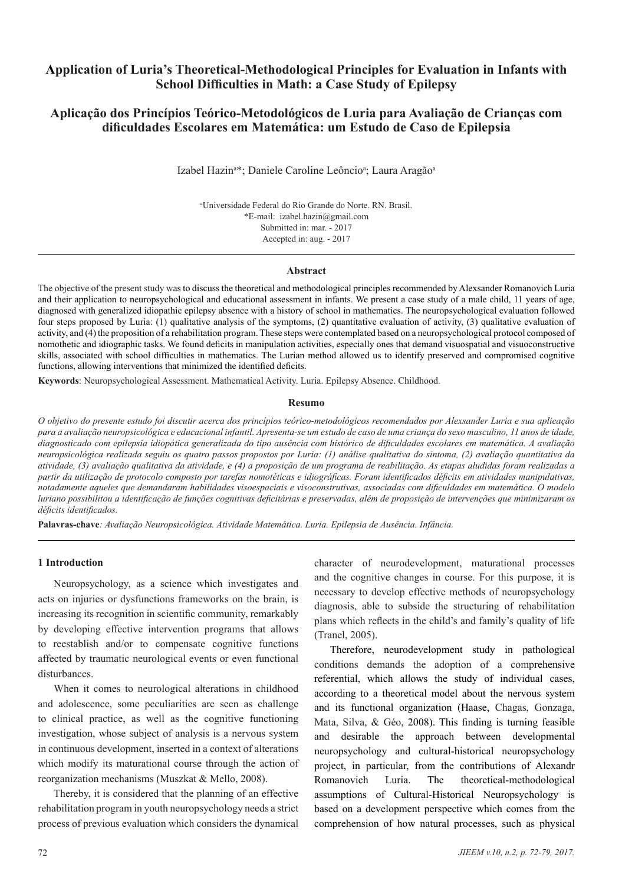# **Application of Luria's Theoretical-Methodological Principles for Evaluation in Infants with School Difficulties in Math: a Case Study of Epilepsy**

# **Aplicação dos Princípios Teórico-Metodológicos de Luria para Avaliação de Crianças com dificuldades Escolares em Matemática: um Estudo de Caso de Epilepsia**

Izabel Hazin<sup>a\*</sup>; Daniele Caroline Leôncio<sup>a</sup>; Laura Aragão<sup>a</sup>

a Universidade Federal do Rio Grande do Norte. RN. Brasil. \*E-mail: izabel.hazin@gmail.com Submitted in: mar. - 2017 Accepted in: aug. - 2017

#### **Abstract**

The objective of the present study was to discuss the theoretical and methodological principles recommended by Alexsander Romanovich Luria and their application to neuropsychological and educational assessment in infants. We present a case study of a male child, 11 years of age, diagnosed with generalized idiopathic epilepsy absence with a history of school in mathematics. The neuropsychological evaluation followed four steps proposed by Luria: (1) qualitative analysis of the symptoms, (2) quantitative evaluation of activity, (3) qualitative evaluation of activity, and (4) the proposition of a rehabilitation program. These steps were contemplated based on a neuropsychological protocol composed of nomothetic and idiographic tasks. We found deficits in manipulation activities, especially ones that demand visuospatial and visuoconstructive skills, associated with school difficulties in mathematics. The Lurian method allowed us to identify preserved and compromised cognitive functions, allowing interventions that minimized the identified deficits.

**Keywords**: Neuropsychological Assessment. Mathematical Activity. Luria. Epilepsy Absence. Childhood.

#### **Resumo**

*O objetivo do presente estudo foi discutir acerca dos princípios teórico-metodológicos recomendados por Alexsander Luria e sua aplicação para a avaliação neuropsicológica e educacional infantil. Apresenta-se um estudo de caso de uma criança do sexo masculino, 11 anos de idade, diagnosticado com epilepsia idiopática generalizada do tipo ausência com histórico de dificuldades escolares em matemática. A avaliação neuropsicológica realizada seguiu os quatro passos propostos por Luria: (1) análise qualitativa do sintoma, (2) avaliação quantitativa da atividade, (3) avaliação qualitativa da atividade, e (4) a proposição de um programa de reabilitação. As etapas aludidas foram realizadas a partir da utilização de protocolo composto por tarefas nomotéticas e idiográficas. Foram identificados déficits em atividades manipulativas, notadamente aqueles que demandaram habilidades visoespaciais e visoconstrutivas, associadas com dificuldades em matemática. O modelo luriano possibilitou a identificação de funções cognitivas deficitárias e preservadas, além de proposição de intervenções que minimizaram os déficits identificados.*

**Palavras-chave***: Avaliação Neuropsicológica. Atividade Matemática. Luria. Epilepsia de Ausência. Infância.*

#### **1 Introduction**

Neuropsychology, as a science which investigates and acts on injuries or dysfunctions frameworks on the brain, is increasing its recognition in scientific community, remarkably by developing effective intervention programs that allows to reestablish and/or to compensate cognitive functions affected by traumatic neurological events or even functional disturbances.

When it comes to neurological alterations in childhood and adolescence, some peculiarities are seen as challenge to clinical practice, as well as the cognitive functioning investigation, whose subject of analysis is a nervous system in continuous development, inserted in a context of alterations which modify its maturational course through the action of reorganization mechanisms (Muszkat & Mello, 2008).

Thereby, it is considered that the planning of an effective rehabilitation program in youth neuropsychology needs a strict process of previous evaluation which considers the dynamical

character of neurodevelopment, maturational processes and the cognitive changes in course. For this purpose, it is necessary to develop effective methods of neuropsychology diagnosis, able to subside the structuring of rehabilitation plans which reflects in the child's and family's quality of life (Tranel, 2005).

Therefore, neurodevelopment study in pathological conditions demands the adoption of a comprehensive referential, which allows the study of individual cases, according to a theoretical model about the nervous system and its functional organization (Haase, Chagas, Gonzaga, Mata, Silva, & Géo, 2008). This finding is turning feasible and desirable the approach between developmental neuropsychology and cultural-historical neuropsychology project, in particular, from the contributions of Alexandr Romanovich Luria. The theoretical-methodological assumptions of Cultural-Historical Neuropsychology is based on a development perspective which comes from the comprehension of how natural processes, such as physical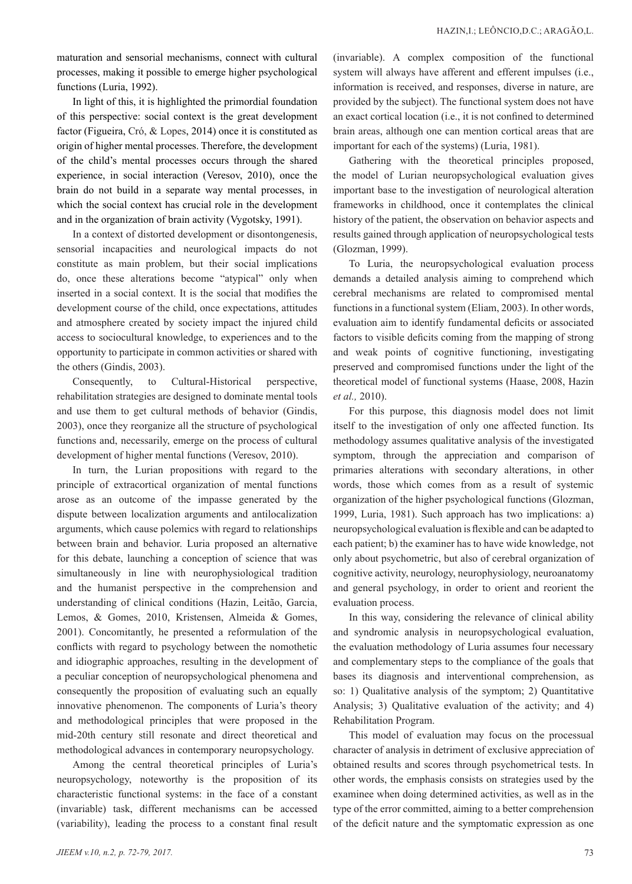maturation and sensorial mechanisms, connect with cultural processes, making it possible to emerge higher psychological functions (Luria, 1992).

In light of this, it is highlighted the primordial foundation of this perspective: social context is the great development factor (Figueira, Cró, & Lopes, 2014) once it is constituted as origin of higher mental processes. Therefore, the development of the child's mental processes occurs through the shared experience, in social interaction (Veresov, 2010), once the brain do not build in a separate way mental processes, in which the social context has crucial role in the development and in the organization of brain activity (Vygotsky, 1991).

In a context of distorted development or disontongenesis, sensorial incapacities and neurological impacts do not constitute as main problem, but their social implications do, once these alterations become "atypical" only when inserted in a social context. It is the social that modifies the development course of the child, once expectations, attitudes and atmosphere created by society impact the injured child access to sociocultural knowledge, to experiences and to the opportunity to participate in common activities or shared with the others (Gindis, 2003).

Consequently, to Cultural-Historical perspective, rehabilitation strategies are designed to dominate mental tools and use them to get cultural methods of behavior (Gindis, 2003), once they reorganize all the structure of psychological functions and, necessarily, emerge on the process of cultural development of higher mental functions (Veresov, 2010).

In turn, the Lurian propositions with regard to the principle of extracortical organization of mental functions arose as an outcome of the impasse generated by the dispute between localization arguments and antilocalization arguments, which cause polemics with regard to relationships between brain and behavior. Luria proposed an alternative for this debate, launching a conception of science that was simultaneously in line with neurophysiological tradition and the humanist perspective in the comprehension and understanding of clinical conditions (Hazin, Leitão, Garcia, Lemos, & Gomes, 2010, Kristensen, Almeida & Gomes, 2001). Concomitantly, he presented a reformulation of the conflicts with regard to psychology between the nomothetic and idiographic approaches, resulting in the development of a peculiar conception of neuropsychological phenomena and consequently the proposition of evaluating such an equally innovative phenomenon. The components of Luria's theory and methodological principles that were proposed in the mid-20th century still resonate and direct theoretical and methodological advances in contemporary neuropsychology.

Among the central theoretical principles of Luria's neuropsychology, noteworthy is the proposition of its characteristic functional systems: in the face of a constant (invariable) task, different mechanisms can be accessed (variability), leading the process to a constant final result (invariable). A complex composition of the functional system will always have afferent and efferent impulses (i.e., information is received, and responses, diverse in nature, are provided by the subject). The functional system does not have an exact cortical location (i.e., it is not confined to determined brain areas, although one can mention cortical areas that are important for each of the systems) (Luria, 1981).

Gathering with the theoretical principles proposed, the model of Lurian neuropsychological evaluation gives important base to the investigation of neurological alteration frameworks in childhood, once it contemplates the clinical history of the patient, the observation on behavior aspects and results gained through application of neuropsychological tests (Glozman, 1999).

To Luria, the neuropsychological evaluation process demands a detailed analysis aiming to comprehend which cerebral mechanisms are related to compromised mental functions in a functional system (Eliam, 2003). In other words, evaluation aim to identify fundamental deficits or associated factors to visible deficits coming from the mapping of strong and weak points of cognitive functioning, investigating preserved and compromised functions under the light of the theoretical model of functional systems (Haase, 2008, Hazin *et al.,* 2010).

For this purpose, this diagnosis model does not limit itself to the investigation of only one affected function. Its methodology assumes qualitative analysis of the investigated symptom, through the appreciation and comparison of primaries alterations with secondary alterations, in other words, those which comes from as a result of systemic organization of the higher psychological functions (Glozman, 1999, Luria, 1981). Such approach has two implications: a) neuropsychological evaluation is flexible and can be adapted to each patient; b) the examiner has to have wide knowledge, not only about psychometric, but also of cerebral organization of cognitive activity, neurology, neurophysiology, neuroanatomy and general psychology, in order to orient and reorient the evaluation process.

In this way, considering the relevance of clinical ability and syndromic analysis in neuropsychological evaluation, the evaluation methodology of Luria assumes four necessary and complementary steps to the compliance of the goals that bases its diagnosis and interventional comprehension, as so: 1) Qualitative analysis of the symptom; 2) Quantitative Analysis; 3) Qualitative evaluation of the activity; and 4) Rehabilitation Program.

This model of evaluation may focus on the processual character of analysis in detriment of exclusive appreciation of obtained results and scores through psychometrical tests. In other words, the emphasis consists on strategies used by the examinee when doing determined activities, as well as in the type of the error committed, aiming to a better comprehension of the deficit nature and the symptomatic expression as one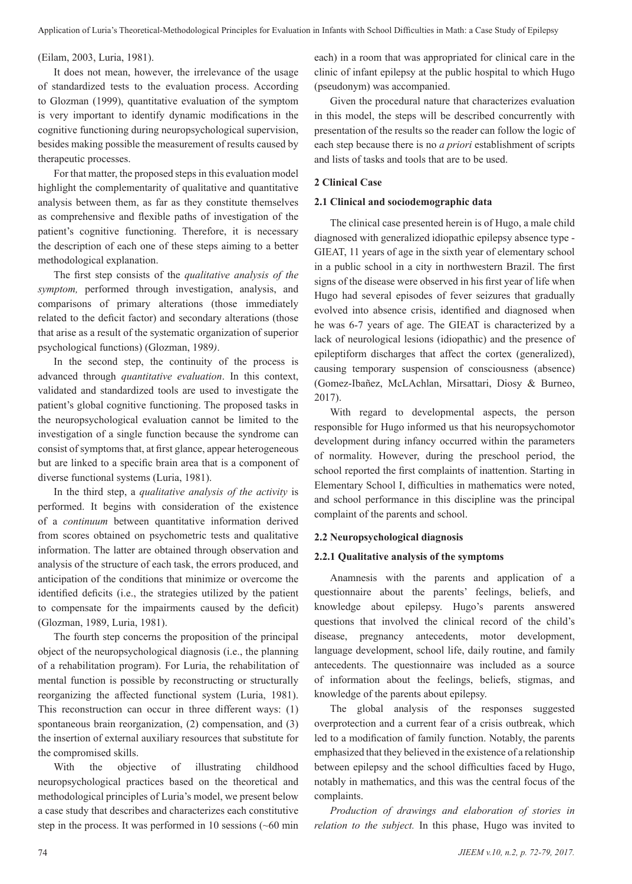Application of Luria's Theoretical-Methodological Principles for Evaluation in Infants with School Difficulties in Math: a Case Study of Epilepsy

(Eilam, 2003, Luria, 1981).

It does not mean, however, the irrelevance of the usage of standardized tests to the evaluation process. According to Glozman (1999), quantitative evaluation of the symptom is very important to identify dynamic modifications in the cognitive functioning during neuropsychological supervision, besides making possible the measurement of results caused by therapeutic processes.

For that matter, the proposed steps in this evaluation model highlight the complementarity of qualitative and quantitative analysis between them, as far as they constitute themselves as comprehensive and flexible paths of investigation of the patient's cognitive functioning. Therefore, it is necessary the description of each one of these steps aiming to a better methodological explanation.

The first step consists of the *qualitative analysis of the symptom,* performed through investigation, analysis, and comparisons of primary alterations (those immediately related to the deficit factor) and secondary alterations (those that arise as a result of the systematic organization of superior psychological functions) (Glozman, 1989*)*.

In the second step, the continuity of the process is advanced through *quantitative evaluation*. In this context, validated and standardized tools are used to investigate the patient's global cognitive functioning. The proposed tasks in the neuropsychological evaluation cannot be limited to the investigation of a single function because the syndrome can consist of symptoms that, at first glance, appear heterogeneous but are linked to a specific brain area that is a component of diverse functional systems (Luria, 1981).

In the third step, a *qualitative analysis of the activity* is performed. It begins with consideration of the existence of a *continuum* between quantitative information derived from scores obtained on psychometric tests and qualitative information. The latter are obtained through observation and analysis of the structure of each task, the errors produced, and anticipation of the conditions that minimize or overcome the identified deficits (i.e., the strategies utilized by the patient to compensate for the impairments caused by the deficit) (Glozman, 1989, Luria, 1981).

The fourth step concerns the proposition of the principal object of the neuropsychological diagnosis (i.e., the planning of a rehabilitation program). For Luria, the rehabilitation of mental function is possible by reconstructing or structurally reorganizing the affected functional system (Luria, 1981). This reconstruction can occur in three different ways: (1) spontaneous brain reorganization, (2) compensation, and (3) the insertion of external auxiliary resources that substitute for the compromised skills.

With the objective of illustrating childhood neuropsychological practices based on the theoretical and methodological principles of Luria's model, we present below a case study that describes and characterizes each constitutive step in the process. It was performed in 10 sessions (~60 min each) in a room that was appropriated for clinical care in the clinic of infant epilepsy at the public hospital to which Hugo (pseudonym) was accompanied.

Given the procedural nature that characterizes evaluation in this model, the steps will be described concurrently with presentation of the results so the reader can follow the logic of each step because there is no *a priori* establishment of scripts and lists of tasks and tools that are to be used.

# **2 Clinical Case**

### **2.1 Clinical and sociodemographic data**

The clinical case presented herein is of Hugo, a male child diagnosed with generalized idiopathic epilepsy absence type - GIEAT, 11 years of age in the sixth year of elementary school in a public school in a city in northwestern Brazil. The first signs of the disease were observed in his first year of life when Hugo had several episodes of fever seizures that gradually evolved into absence crisis, identified and diagnosed when he was 6-7 years of age. The GIEAT is characterized by a lack of neurological lesions (idiopathic) and the presence of epileptiform discharges that affect the cortex (generalized), causing temporary suspension of consciousness (absence) (Gomez-Ibañez, McLAchlan, Mirsattari, Diosy & Burneo, 2017).

With regard to developmental aspects, the person responsible for Hugo informed us that his neuropsychomotor development during infancy occurred within the parameters of normality. However, during the preschool period, the school reported the first complaints of inattention. Starting in Elementary School I, difficulties in mathematics were noted, and school performance in this discipline was the principal complaint of the parents and school.

### **2.2 Neuropsychological diagnosis**

### **2.2.1 Qualitative analysis of the symptoms**

Anamnesis with the parents and application of a questionnaire about the parents' feelings, beliefs, and knowledge about epilepsy. Hugo's parents answered questions that involved the clinical record of the child's disease, pregnancy antecedents, motor development, language development, school life, daily routine, and family antecedents. The questionnaire was included as a source of information about the feelings, beliefs, stigmas, and knowledge of the parents about epilepsy.

The global analysis of the responses suggested overprotection and a current fear of a crisis outbreak, which led to a modification of family function. Notably, the parents emphasized that they believed in the existence of a relationship between epilepsy and the school difficulties faced by Hugo, notably in mathematics, and this was the central focus of the complaints.

*Production of drawings and elaboration of stories in relation to the subject.* In this phase, Hugo was invited to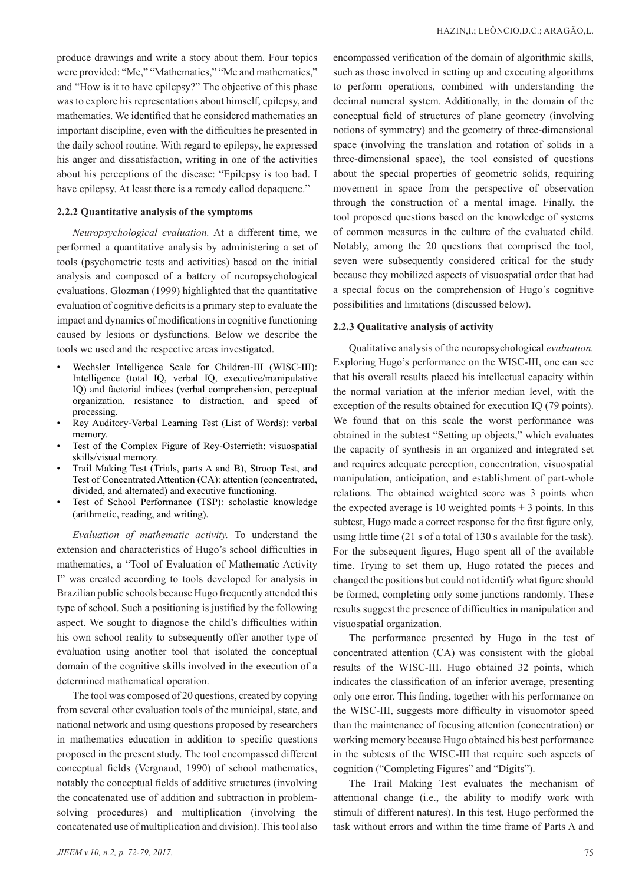produce drawings and write a story about them. Four topics were provided: "Me," "Mathematics," "Me and mathematics," and "How is it to have epilepsy?" The objective of this phase was to explore his representations about himself, epilepsy, and mathematics. We identified that he considered mathematics an important discipline, even with the difficulties he presented in the daily school routine. With regard to epilepsy, he expressed his anger and dissatisfaction, writing in one of the activities about his perceptions of the disease: "Epilepsy is too bad. I have epilepsy. At least there is a remedy called depaquene."

## **2.2.2 Quantitative analysis of the symptoms**

*Neuropsychological evaluation.* At a different time, we performed a quantitative analysis by administering a set of tools (psychometric tests and activities) based on the initial analysis and composed of a battery of neuropsychological evaluations. Glozman (1999) highlighted that the quantitative evaluation of cognitive deficits is a primary step to evaluate the impact and dynamics of modifications in cognitive functioning caused by lesions or dysfunctions. Below we describe the tools we used and the respective areas investigated.

- Wechsler Intelligence Scale for Children-III (WISC-III): Intelligence (total IQ, verbal IQ, executive/manipulative IQ) and factorial indices (verbal comprehension, perceptual organization, resistance to distraction, and speed of processing.
- Rey Auditory-Verbal Learning Test (List of Words): verbal memory.
- Test of the Complex Figure of Rey-Osterrieth: visuospatial skills/visual memory.
- Trail Making Test (Trials, parts A and B), Stroop Test, and Test of Concentrated Attention (CA): attention (concentrated, divided, and alternated) and executive functioning.
- Test of School Performance (TSP): scholastic knowledge (arithmetic, reading, and writing).

*Evaluation of mathematic activity.* To understand the extension and characteristics of Hugo's school difficulties in mathematics, a "Tool of Evaluation of Mathematic Activity I" was created according to tools developed for analysis in Brazilian public schools because Hugo frequently attended this type of school. Such a positioning is justified by the following aspect. We sought to diagnose the child's difficulties within his own school reality to subsequently offer another type of evaluation using another tool that isolated the conceptual domain of the cognitive skills involved in the execution of a determined mathematical operation.

The tool was composed of 20 questions, created by copying from several other evaluation tools of the municipal, state, and national network and using questions proposed by researchers in mathematics education in addition to specific questions proposed in the present study. The tool encompassed different conceptual fields (Vergnaud, 1990) of school mathematics, notably the conceptual fields of additive structures (involving the concatenated use of addition and subtraction in problemsolving procedures) and multiplication (involving the concatenated use of multiplication and division). This tool also encompassed verification of the domain of algorithmic skills, such as those involved in setting up and executing algorithms to perform operations, combined with understanding the decimal numeral system. Additionally, in the domain of the conceptual field of structures of plane geometry (involving notions of symmetry) and the geometry of three-dimensional space (involving the translation and rotation of solids in a three-dimensional space), the tool consisted of questions about the special properties of geometric solids, requiring movement in space from the perspective of observation through the construction of a mental image. Finally, the tool proposed questions based on the knowledge of systems of common measures in the culture of the evaluated child. Notably, among the 20 questions that comprised the tool, seven were subsequently considered critical for the study because they mobilized aspects of visuospatial order that had a special focus on the comprehension of Hugo's cognitive possibilities and limitations (discussed below).

#### **2.2.3 Qualitative analysis of activity**

Qualitative analysis of the neuropsychological *evaluation.*  Exploring Hugo's performance on the WISC-III, one can see that his overall results placed his intellectual capacity within the normal variation at the inferior median level, with the exception of the results obtained for execution IQ (79 points). We found that on this scale the worst performance was obtained in the subtest "Setting up objects," which evaluates the capacity of synthesis in an organized and integrated set and requires adequate perception, concentration, visuospatial manipulation, anticipation, and establishment of part-whole relations. The obtained weighted score was 3 points when the expected average is 10 weighted points  $\pm$  3 points. In this subtest, Hugo made a correct response for the first figure only, using little time (21 s of a total of 130 s available for the task). For the subsequent figures, Hugo spent all of the available time. Trying to set them up, Hugo rotated the pieces and changed the positions but could not identify what figure should be formed, completing only some junctions randomly. These results suggest the presence of difficulties in manipulation and visuospatial organization.

The performance presented by Hugo in the test of concentrated attention (CA) was consistent with the global results of the WISC-III. Hugo obtained 32 points, which indicates the classification of an inferior average, presenting only one error. This finding, together with his performance on the WISC-III, suggests more difficulty in visuomotor speed than the maintenance of focusing attention (concentration) or working memory because Hugo obtained his best performance in the subtests of the WISC-III that require such aspects of cognition ("Completing Figures" and "Digits").

The Trail Making Test evaluates the mechanism of attentional change (i.e., the ability to modify work with stimuli of different natures). In this test, Hugo performed the task without errors and within the time frame of Parts A and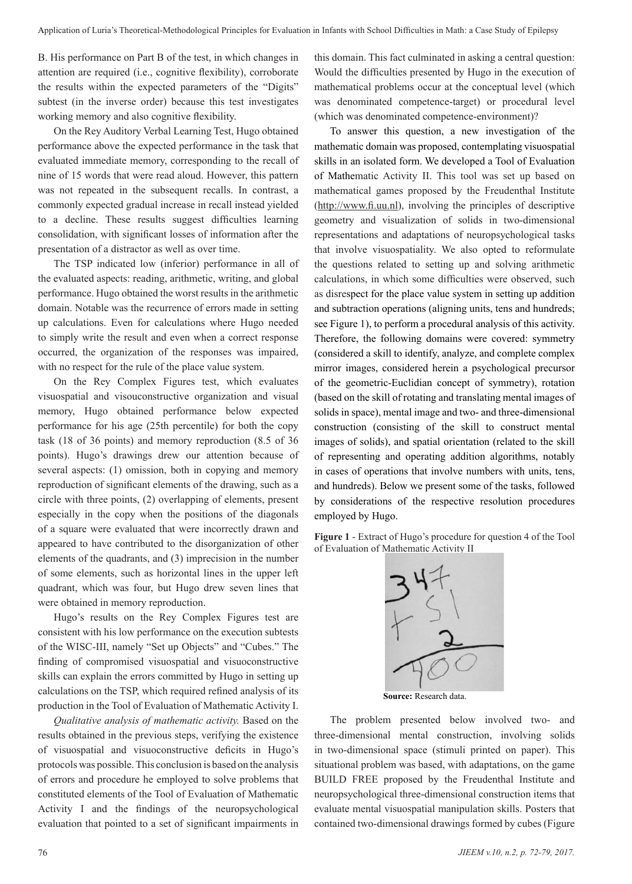B. His performance on Part B of the test, in which changes in attention are required (i.e., cognitive flexibility), corroborate the results within the expected parameters of the "Digits" subtest (in the inverse order) because this test investigates working memory and also cognitive flexibility.

On the Rey Auditory Verbal Learning Test, Hugo obtained performance above the expected performance in the task that evaluated immediate memory, corresponding to the recall of nine of 15 words that were read aloud. However, this pattern was not repeated in the subsequent recalls. In contrast, a commonly expected gradual increase in recall instead yielded to a decline. These results suggest difficulties learning consolidation, with significant losses of information after the presentation of a distractor as well as over time.

The TSP indicated low (inferior) performance in all of the evaluated aspects: reading, arithmetic, writing, and global performance. Hugo obtained the worst results in the arithmetic domain. Notable was the recurrence of errors made in setting up calculations. Even for calculations where Hugo needed to simply write the result and even when a correct response occurred, the organization of the responses was impaired, with no respect for the rule of the place value system.

On the Rey Complex Figures test, which evaluates visuospatial and visouconstructive organization and visual memory, Hugo obtained performance below expected performance for his age (25th percentile) for both the copy task (18 of 36 points) and memory reproduction (8.5 of 36 points). Hugo's drawings drew our attention because of several aspects: (1) omission, both in copying and memory reproduction of significant elements of the drawing, such as a circle with three points, (2) overlapping of elements, present especially in the copy when the positions of the diagonals of a square were evaluated that were incorrectly drawn and appeared to have contributed to the disorganization of other elements of the quadrants, and (3) imprecision in the number of some elements, such as horizontal lines in the upper left quadrant, which was four, but Hugo drew seven lines that were obtained in memory reproduction.

Hugo's results on the Rey Complex Figures test are consistent with his low performance on the execution subtests of the WISC-III, namely "Set up Objects" and "Cubes." The finding of compromised visuospatial and visuoconstructive skills can explain the errors committed by Hugo in setting up calculations on the TSP, which required refined analysis of its production in the Tool of Evaluation of Mathematic Activity I.

*Qualitative analysis of mathematic activity.* Based on the results obtained in the previous steps, verifying the existence of visuospatial and visuoconstructive deficits in Hugo's protocols was possible. This conclusion is based on the analysis of errors and procedure he employed to solve problems that constituted elements of the Tool of Evaluation of Mathematic Activity I and the findings of the neuropsychological evaluation that pointed to a set of significant impairments in this domain. This fact culminated in asking a central question: Would the difficulties presented by Hugo in the execution of mathematical problems occur at the conceptual level (which was denominated competence-target) or procedural level (which was denominated competence-environment)?

To answer this question, a new investigation of the mathematic domain was proposed, contemplating visuospatial skills in an isolated form. We developed a Tool of Evaluation of Mathematic Activity II. This tool was set up based on mathematical games proposed by the Freudenthal Institute (http://www.fi.uu.nl), involving the principles of descriptive geometry and visualization of solids in two-dimensional representations and adaptations of neuropsychological tasks that involve visuospatiality. We also opted to reformulate the questions related to setting up and solving arithmetic calculations, in which some difficulties were observed, such as disrespect for the place value system in setting up addition and subtraction operations (aligning units, tens and hundreds; see Figure 1), to perform a procedural analysis of this activity. Therefore, the following domains were covered: symmetry (considered a skill to identify, analyze, and complete complex mirror images, considered herein a psychological precursor of the geometric-Euclidian concept of symmetry), rotation (based on the skill of rotating and translating mental images of solids in space), mental image and two- and three-dimensional construction (consisting of the skill to construct mental images of solids), and spatial orientation (related to the skill of representing and operating addition algorithms, notably in cases of operations that involve numbers with units, tens, and hundreds). Below we present some of the tasks, followed by considerations of the respective resolution procedures employed by Hugo.

**Figure 1** - Extract of Hugo's procedure for question 4 of the Tool of Evaluation of Mathematic Activity II



 **Source:** Research data.

The problem presented below involved two- and three-dimensional mental construction, involving solids in two-dimensional space (stimuli printed on paper). This situational problem was based, with adaptations, on the game BUILD FREE proposed by the Freudenthal Institute and neuropsychological three-dimensional construction items that evaluate mental visuospatial manipulation skills. Posters that contained two-dimensional drawings formed by cubes (Figure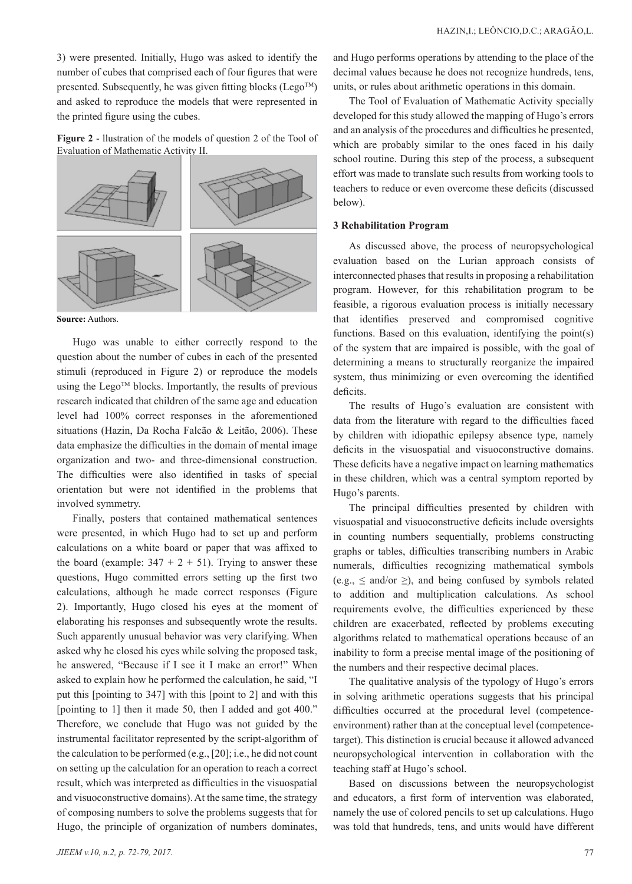3) were presented. Initially, Hugo was asked to identify the number of cubes that comprised each of four figures that were presented. Subsequently, he was given fitting blocks (Lego<sup>TM</sup>) and asked to reproduce the models that were represented in the printed figure using the cubes.

**Figure 2** - llustration of the models of question 2 of the Tool of Evaluation of Mathematic Activity II.



**Source:** Authors.

Hugo was unable to either correctly respond to the question about the number of cubes in each of the presented stimuli (reproduced in Figure 2) or reproduce the models using the Lego<sup>TM</sup> blocks. Importantly, the results of previous research indicated that children of the same age and education level had 100% correct responses in the aforementioned situations (Hazin, Da Rocha Falcão & Leitão, 2006). These data emphasize the difficulties in the domain of mental image organization and two- and three-dimensional construction. The difficulties were also identified in tasks of special orientation but were not identified in the problems that involved symmetry.

Finally, posters that contained mathematical sentences were presented, in which Hugo had to set up and perform calculations on a white board or paper that was affixed to the board (example:  $347 + 2 + 51$ ). Trying to answer these questions, Hugo committed errors setting up the first two calculations, although he made correct responses (Figure 2). Importantly, Hugo closed his eyes at the moment of elaborating his responses and subsequently wrote the results. Such apparently unusual behavior was very clarifying. When asked why he closed his eyes while solving the proposed task, he answered, "Because if I see it I make an error!" When asked to explain how he performed the calculation, he said, "I put this [pointing to 347] with this [point to 2] and with this [pointing to 1] then it made 50, then I added and got 400." Therefore, we conclude that Hugo was not guided by the instrumental facilitator represented by the script-algorithm of the calculation to be performed (e.g., [20]; i.e., he did not count on setting up the calculation for an operation to reach a correct result, which was interpreted as difficulties in the visuospatial and visuoconstructive domains). At the same time, the strategy of composing numbers to solve the problems suggests that for Hugo, the principle of organization of numbers dominates,

and Hugo performs operations by attending to the place of the decimal values because he does not recognize hundreds, tens, units, or rules about arithmetic operations in this domain.

The Tool of Evaluation of Mathematic Activity specially developed for this study allowed the mapping of Hugo's errors and an analysis of the procedures and difficulties he presented, which are probably similar to the ones faced in his daily school routine. During this step of the process, a subsequent effort was made to translate such results from working tools to teachers to reduce or even overcome these deficits (discussed below).

# **3 Rehabilitation Program**

As discussed above, the process of neuropsychological evaluation based on the Lurian approach consists of interconnected phases that results in proposing a rehabilitation program. However, for this rehabilitation program to be feasible, a rigorous evaluation process is initially necessary that identifies preserved and compromised cognitive functions. Based on this evaluation, identifying the point(s) of the system that are impaired is possible, with the goal of determining a means to structurally reorganize the impaired system, thus minimizing or even overcoming the identified deficits.

The results of Hugo's evaluation are consistent with data from the literature with regard to the difficulties faced by children with idiopathic epilepsy absence type, namely deficits in the visuospatial and visuoconstructive domains. These deficits have a negative impact on learning mathematics in these children, which was a central symptom reported by Hugo's parents.

The principal difficulties presented by children with visuospatial and visuoconstructive deficits include oversights in counting numbers sequentially, problems constructing graphs or tables, difficulties transcribing numbers in Arabic numerals, difficulties recognizing mathematical symbols  $(e.g., \leq and/or \geq)$ , and being confused by symbols related to addition and multiplication calculations. As school requirements evolve, the difficulties experienced by these children are exacerbated, reflected by problems executing algorithms related to mathematical operations because of an inability to form a precise mental image of the positioning of the numbers and their respective decimal places.

The qualitative analysis of the typology of Hugo's errors in solving arithmetic operations suggests that his principal difficulties occurred at the procedural level (competenceenvironment) rather than at the conceptual level (competencetarget). This distinction is crucial because it allowed advanced neuropsychological intervention in collaboration with the teaching staff at Hugo's school.

Based on discussions between the neuropsychologist and educators, a first form of intervention was elaborated, namely the use of colored pencils to set up calculations. Hugo was told that hundreds, tens, and units would have different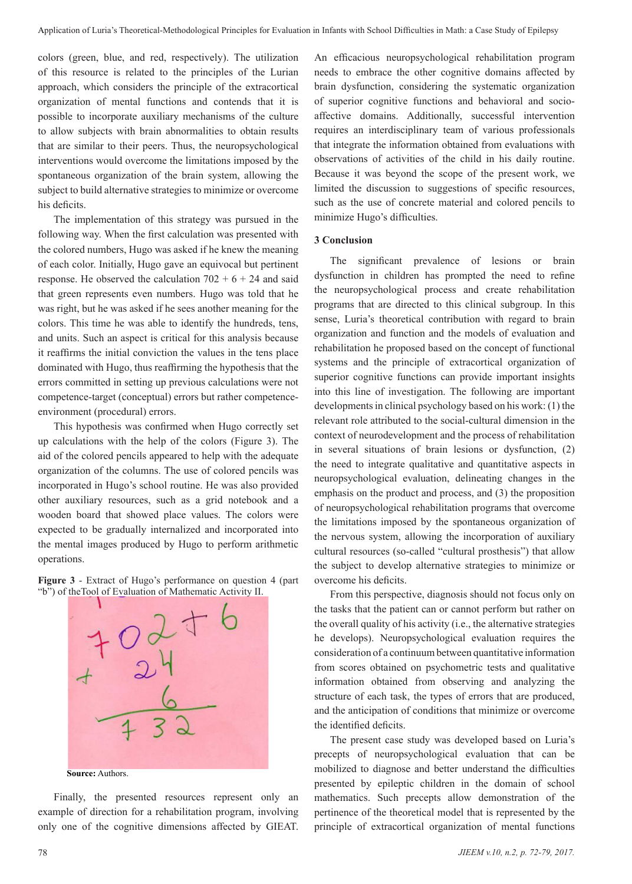colors (green, blue, and red, respectively). The utilization of this resource is related to the principles of the Lurian approach, which considers the principle of the extracortical organization of mental functions and contends that it is possible to incorporate auxiliary mechanisms of the culture to allow subjects with brain abnormalities to obtain results that are similar to their peers. Thus, the neuropsychological interventions would overcome the limitations imposed by the spontaneous organization of the brain system, allowing the subject to build alternative strategies to minimize or overcome his deficits.

The implementation of this strategy was pursued in the following way. When the first calculation was presented with the colored numbers, Hugo was asked if he knew the meaning of each color. Initially, Hugo gave an equivocal but pertinent response. He observed the calculation  $702 + 6 + 24$  and said that green represents even numbers. Hugo was told that he was right, but he was asked if he sees another meaning for the colors. This time he was able to identify the hundreds, tens, and units. Such an aspect is critical for this analysis because it reaffirms the initial conviction the values in the tens place dominated with Hugo, thus reaffirming the hypothesis that the errors committed in setting up previous calculations were not competence-target (conceptual) errors but rather competenceenvironment (procedural) errors.

This hypothesis was confirmed when Hugo correctly set up calculations with the help of the colors (Figure 3). The aid of the colored pencils appeared to help with the adequate organization of the columns. The use of colored pencils was incorporated in Hugo's school routine. He was also provided other auxiliary resources, such as a grid notebook and a wooden board that showed place values. The colors were expected to be gradually internalized and incorporated into the mental images produced by Hugo to perform arithmetic operations.





Finally, the presented resources represent only an example of direction for a rehabilitation program, involving only one of the cognitive dimensions affected by GIEAT.

An efficacious neuropsychological rehabilitation program needs to embrace the other cognitive domains affected by brain dysfunction, considering the systematic organization of superior cognitive functions and behavioral and socioaffective domains. Additionally, successful intervention requires an interdisciplinary team of various professionals that integrate the information obtained from evaluations with observations of activities of the child in his daily routine. Because it was beyond the scope of the present work, we limited the discussion to suggestions of specific resources, such as the use of concrete material and colored pencils to minimize Hugo's difficulties.

# **3 Conclusion**

The significant prevalence of lesions or brain dysfunction in children has prompted the need to refine the neuropsychological process and create rehabilitation programs that are directed to this clinical subgroup. In this sense, Luria's theoretical contribution with regard to brain organization and function and the models of evaluation and rehabilitation he proposed based on the concept of functional systems and the principle of extracortical organization of superior cognitive functions can provide important insights into this line of investigation. The following are important developments in clinical psychology based on his work: (1) the relevant role attributed to the social-cultural dimension in the context of neurodevelopment and the process of rehabilitation in several situations of brain lesions or dysfunction, (2) the need to integrate qualitative and quantitative aspects in neuropsychological evaluation, delineating changes in the emphasis on the product and process, and (3) the proposition of neuropsychological rehabilitation programs that overcome the limitations imposed by the spontaneous organization of the nervous system, allowing the incorporation of auxiliary cultural resources (so-called "cultural prosthesis") that allow the subject to develop alternative strategies to minimize or overcome his deficits.

From this perspective, diagnosis should not focus only on the tasks that the patient can or cannot perform but rather on the overall quality of his activity (i.e., the alternative strategies he develops). Neuropsychological evaluation requires the consideration of a continuum between quantitative information from scores obtained on psychometric tests and qualitative information obtained from observing and analyzing the structure of each task, the types of errors that are produced, and the anticipation of conditions that minimize or overcome the identified deficits.

The present case study was developed based on Luria's precepts of neuropsychological evaluation that can be mobilized to diagnose and better understand the difficulties presented by epileptic children in the domain of school mathematics. Such precepts allow demonstration of the pertinence of the theoretical model that is represented by the principle of extracortical organization of mental functions